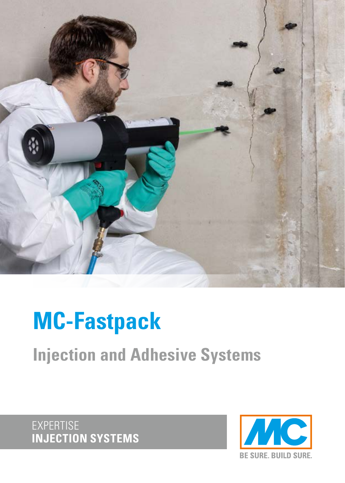

# **MC-Fastpack**

**Injection and Adhesive Systems**

EXPERTISE **INJECTION SYSTEMS**

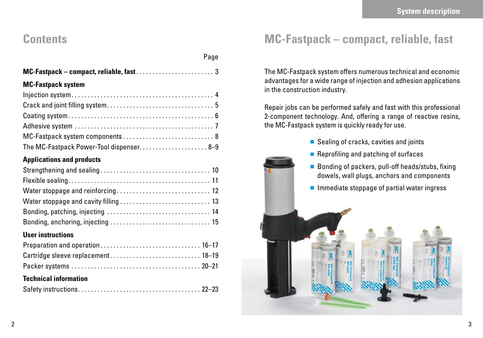### **Contents**

| Page                                     |
|------------------------------------------|
|                                          |
| <b>MC-Fastpack system</b>                |
|                                          |
|                                          |
|                                          |
|                                          |
|                                          |
| The MC-Fastpack Power-Tool dispenser 8-9 |
| <b>Applications and products</b>         |
|                                          |
|                                          |
| Water stoppage and reinforcing 12        |
| Water stoppage and cavity filling  13    |
|                                          |
|                                          |
| <b>User instructions</b>                 |
|                                          |
| Cartridge sleeve replacement 18-19       |
|                                          |
| <b>Technical information</b>             |
|                                          |

### **MC-Fastpack – compact, reliable, fast**

The MC-Fastpack system offers numerous technical and economic advantages for a wide range of injection and adhesion applications in the construction industry.

Repair jobs can be performed safely and fast with this professional 2-component technology. And, offering a range of reactive resins, the MC-Fastpack system is quickly ready for use.

- Sealing of cracks, cavities and joints
- $\blacksquare$  Reprofiling and patching of surfaces
- Bonding of packers, pull-off heads/stubs, fixing dowels, wall plugs, anchors and components
- $\blacksquare$  Immediate stoppage of partial water ingress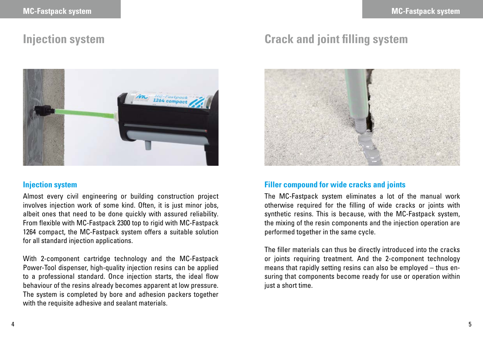

#### **Injection system**

Almost every civil engineering or building construction project involves injection work of some kind. Often, it is just minor jobs, albeit ones that need to be done quickly with assured reliability. From flexible with MC-Fastpack 2300 top to rigid with MC-Fastpack 1264 compact, the MC-Fastpack system offers a suitable solution for all standard injection applications.

With 2-component cartridge technology and the MC-Fastpack Power-Tool dispenser, high-quality injection resins can be applied to a professional standard. Once injection starts, the ideal flow behaviour of the resins already becomes apparent at low pressure. The system is completed by bore and adhesion packers together with the requisite adhesive and sealant materials.

## **Injection system Crack and joint filling system**



#### **Filler compound for wide cracks and joints**

The MC-Fastpack system eliminates a lot of the manual work otherwise required for the filling of wide cracks or joints with synthetic resins. This is because, with the MC-Fastpack system, the mixing of the resin components and the injection operation are performed together in the same cycle.

The filler materials can thus be directly introduced into the cracks or joints requiring treatment. And the 2-component technology means that rapidly setting resins can also be employed – thus ensuring that components become ready for use or operation within just a short time.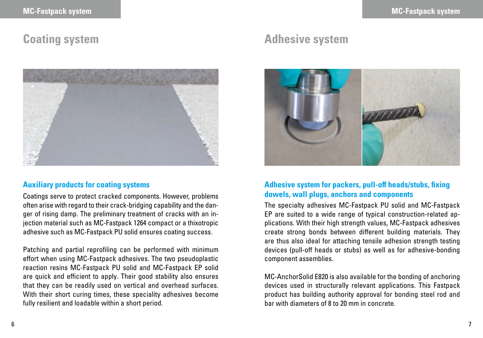

#### **Auxiliary products for coating systems**

Coatings serve to protect cracked components. However, problems often arise with regard to their crack-bridging capability and the danger of rising damp. The preliminary treatment of cracks with an injection material such as MC-Fastpack 1264 compact or a thixotropic adhesive such as MC-Fastpack PU solid ensures coating success.

Patching and partial reprofiling can be performed with minimum effort when using MC-Fastpack adhesives. The two pseudoplastic reaction resins MC-Fastpack PU solid and MC-Fastpack EP solid are quick and efficient to apply. Their good stability also ensures that they can be readily used on vertical and overhead surfaces. With their short curing times, these speciality adhesives become fully resilient and loadable within a short period.

### **Coating system Adhesive system**



#### **Adhesive system for packers, pull-off heads/stubs, fixing dowels, wall plugs, anchors and components**

The specialty adhesives MC-Fastpack PU solid and MC-Fastpack EP are suited to a wide range of typical construction-related applications. With their high strength values, MC-Fastpack adhesives create strong bonds between different building materials. They are thus also ideal for attaching tensile adhesion strength testing devices (pull-off heads or stubs) as well as for adhesive-bonding component assemblies.

MC-AnchorSolid E820 is also available for the bonding of anchoring devices used in structurally relevant applications. This Fastpack product has building authority approval for bonding steel rod and bar with diameters of 8 to 20 mm in concrete.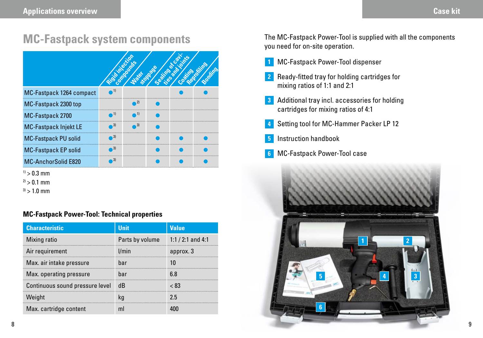### **MC-Fastpack system components**

|                              | RECORD PORT |  |  |
|------------------------------|-------------|--|--|
| MC-Fastpack 1264 compact     |             |  |  |
| MC-Fastpack 2300 top         |             |  |  |
| MC-Fastpack 2700             |             |  |  |
| <b>MC-Fastpack Injekt LE</b> |             |  |  |
| <b>MC-Fastpack PU solid</b>  |             |  |  |
| <b>MC-Fastpack EP solid</b>  |             |  |  |
| <b>MC-AnchorSolid E820</b>   |             |  |  |

- $1) > 0.3$  mm
- $2) > 0.1$  mm
- $3$ ) > 1.0 mm

#### **MC-Fastpack Power-Tool: Technical properties**

| <b>Characteristic</b>           | <b>Unit</b>                       | <b>Value</b> |
|---------------------------------|-----------------------------------|--------------|
| Mixing ratio                    | Parts by volume $1:1/2:1$ and 4:1 |              |
| Air requirement                 | l/min                             | approx. 3    |
| Max. air intake pressure        | har                               |              |
| Max. operating pressure         | har                               | 6 ጸ          |
| Continuous sound pressure level | -dB                               | < 83         |
| Weight                          |                                   | 25           |
| Max. cartridge content          |                                   |              |

The MC-Fastpack Power-Tool is supplied with all the components you need for on-site operation.

- MC-Fastpack Power-Tool dispenser **1**
- **2** Ready-fitted tray for holding cartridges for mixing ratios of 1:1 and 2:1
- Additional tray incl. accessories for holding **3** cartridges for mixing ratios of 4:1
- Setting tool for MC-Hammer Packer LP 12 **4**
- Instruction handbook **5**
- MC-Fastpack Power-Tool case **6**

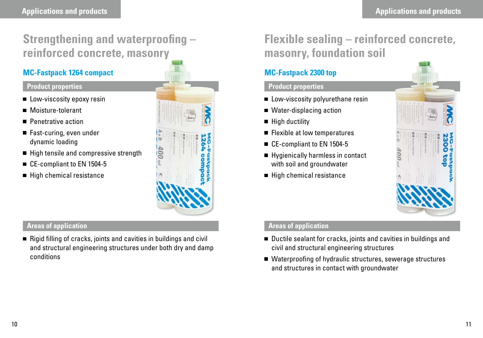## **Strengthening and waterproofing – reinforced concrete, masonry**

#### **MC-Fastpack 1264 compact**

#### **Product properties**

- **Low-viscosity epoxy resin**
- Moisture-tolerant
- **Penetrative action**
- Fast-curing, even under dynamic loading
- High tensile and compressive strength
- CE-compliant to EN 1504-5
- $\blacksquare$  High chemical resistance



#### **Areas of application**

 $\blacksquare$  Rigid filling of cracks, joints and cavities in buildings and civil and structural engineering structures under both dry and damp conditions

## **Flexible sealing – reinforced concrete, masonry, foundation soil**

### **MC-Fastpack 2300 top**

#### **Product properties**

- **Low-viscosity polyurethane resin**
- Water-displacing action
- $\blacksquare$  High ductility
- Flexible at low temperatures
- CE-compliant to EN 1504-5
- Hygienically harmless in contact with soil and groundwater
- High chemical resistance



#### **Areas of application**

- Ductile sealant for cracks, joints and cavities in buildings and civil and structural engineering structures
- Waterproofing of hydraulic structures, sewerage structures and structures in contact with groundwater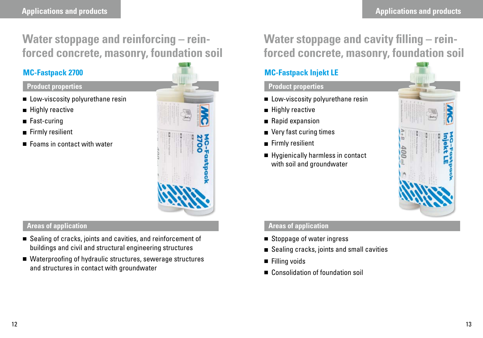### **Water stoppage and reinforcing – reinforced concrete, masonry, foundation soil**

#### **MC-Fastpack 2700**

#### **Product properties**

- Low-viscosity polyurethane resin
- **Highly reactive**
- Fast-curing
- Firmly resilient
- Foams in contact with water



#### **Areas of application**

- Sealing of cracks, joints and cavities, and reinforcement of buildings and civil and structural engineering structures
- Waterproofing of hydraulic structures, sewerage structures and structures in contact with groundwater

### **Water stoppage and cavity filling – reinforced concrete, masonry, foundation soil**

### **MC-Fastpack Injekt LE**

#### **Product properties**

- **Low-viscosity polyurethane resin**
- **Highly reactive**
- Rapid expansion
- Very fast curing times
- Firmly resilient
- Hygienically harmless in contact with soil and groundwater



#### **Areas of application**

- Stoppage of water ingress
- Sealing cracks, joints and small cavities
- **Filling voids**
- Consolidation of foundation soil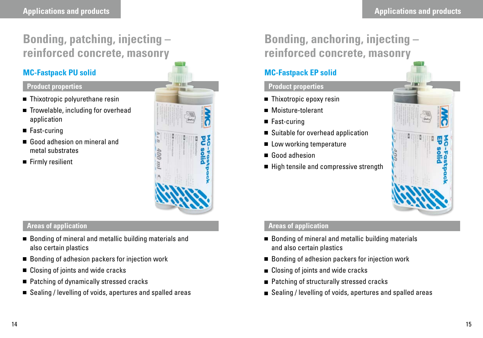## **Bonding, patching, injecting – reinforced concrete, masonry**

### **MC-Fastpack PU solid**

#### **Product properties**

- Thixotropic polyurethane resin
- Trowelable, including for overhead application
- Fast-curing
- Good adhesion on mineral and metal substrates
- $\blacksquare$  Firmly resilient



#### **Areas of application**

- Bonding of mineral and metallic building materials and also certain plastics
- Bonding of adhesion packers for injection work
- Closing of joints and wide cracks
- Patching of dynamically stressed cracks
- Sealing / levelling of voids, apertures and spalled areas

## **Bonding, anchoring, injecting – reinforced concrete, masonry**

### **MC-Fastpack EP solid**

#### **Product properties**

- Thixotropic epoxy resin
- Moisture-tolerant
- Fast-curing
- Suitable for overhead application
- Low working temperature
- Good adhesion
- High tensile and compressive strength

### **Areas of application**

- Bonding of mineral and metallic building materials and also certain plastics
- Bonding of adhesion packers for injection work
- Closing of joints and wide cracks
- Patching of structurally stressed cracks
- Sealing / levelling of voids, apertures and spalled areas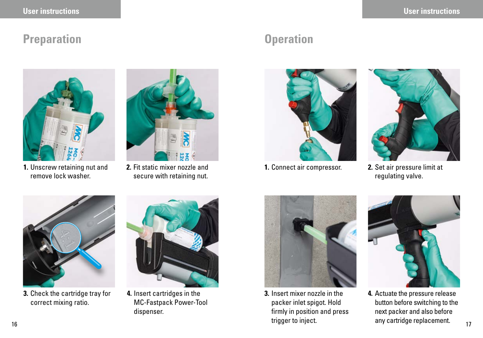### **Preparation Operation**



**1.** Unscrew retaining nut and **2.** Fit static mixer nozzle and **1.** Connect air compressor. remove lock washer.



**2.** Fit static mixer nozzle and secure with retaining nut.





**2.** Set air pressure limit at regulating valve.



**3.** Check the cartridge tray for correct mixing ratio.



**4.** Insert cartridges in the MC-Fastpack Power-Tool dispenser.



 $\frac{16}{17}$  17  $\frac{17}{17}$  17  $\frac{17}{17}$  17  $\frac{17}{17}$  17  $\frac{17}{17}$  17  $\frac{17}{17}$  17  $\frac{17}{17}$  17  $\frac{17}{17}$  17 **3.** Insert mixer nozzle in the packer inlet spigot. Hold firmly in position and press trigger to inject.



**4.** Actuate the pressure release button before switching to the next packer and also before any cartridge replacement.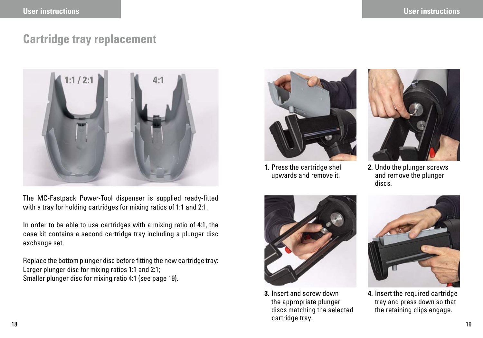### **Cartridge tray replacement**



The MC-Fastpack Power-Tool dispenser is supplied ready-fitted with a tray for holding cartridges for mixing ratios of 1:1 and 2:1.

In order to be able to use cartridges with a mixing ratio of 4:1, the case kit contains a second cartridge tray including a plunger disc exchange set.

Replace the bottom plunger disc before fitting the new cartridge tray: Larger plunger disc for mixing ratios 1:1 and 2:1; Smaller plunger disc for mixing ratio 4:1 (see page 19).



**1.** Press the cartridge shell upwards and remove it.



**2.** Undo the plunger screws and remove the plunger discs.



18 **18 ISO 1992 - 1993 - 1994 - 1994 - 1995 - 1996 - 1996 - 1996 - 1996 - 1996 - 1996 - 1996 - 1996 - 1996 - 1 3.** Insert and screw down the appropriate plunger discs matching the selected cartridge tray.



**4.** Insert the required cartridge tray and press down so that the retaining clips engage.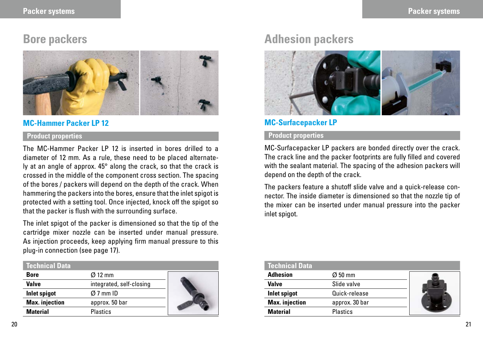

#### **MC-Hammer Packer LP 12**

#### **Product properties**

The MC-Hammer Packer LP 12 is inserted in bores drilled to a diameter of 12 mm. As a rule, these need to be placed alternately at an angle of approx. 45° along the crack, so that the crack is crossed in the middle of the component cross section. The spacing of the bores / packers will depend on the depth of the crack. When hammering the packers into the bores, ensure that the inlet spigot is protected with a setting tool. Once injected, knock off the spigot so that the packer is flush with the surrounding surface.

The inlet spigot of the packer is dimensioned so that the tip of the cartridge mixer nozzle can be inserted under manual pressure. As injection proceeds, keep applying firm manual pressure to this plug-in connection (see page 17).

#### **Technical Data Bore** Ø 12 mm **Valve** integrated, self-closing **Inlet spigot** Ø 7 mm ID **Max. injection approx.** 50 bar **Material** Plastics

### **Bore packers Adhesion packers Adhesion packers**



#### **MC-Surfacepacker LP**

#### **Product properties**

MC-Surfacepacker LP packers are bonded directly over the crack. The crack line and the packer footprints are fully filled and covered with the sealant material. The spacing of the adhesion packers will depend on the depth of the crack.

The packers feature a shutoff slide valve and a quick-release connector. The inside diameter is dimensioned so that the nozzle tip of the mixer can be inserted under manual pressure into the packer inlet spigot.

| <b>Technical Data</b> |                     |  |
|-----------------------|---------------------|--|
| <b>Adhesion</b>       | $\varnothing$ 50 mm |  |
| Valve                 | Slide valve         |  |
| <b>Inlet spigot</b>   | Quick-release       |  |
| <b>Max.</b> injection | approx. 30 bar      |  |
| <b>Material</b>       | Plastics            |  |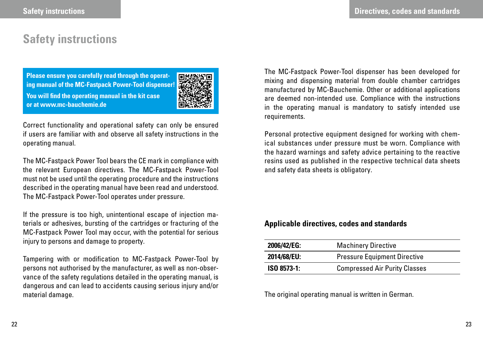### **Safety instructions**

**Please ensure you carefully read through the operating manual of the MC-Fastpack Power-Tool dispenser! You will find the operating manual in the kit case or at www.mc-bauchemie.de**



Correct functionality and operational safety can only be ensured if users are familiar with and observe all safety instructions in the operating manual.

The MC-Fastpack Power Tool bears the CE mark in compliance with the relevant European directives. The MC-Fastpack Power-Tool must not be used until the operating procedure and the instructions described in the operating manual have been read and understood. The MC-Fastpack Power-Tool operates under pressure.

If the pressure is too high, unintentional escape of injection materials or adhesives, bursting of the cartridges or fracturing of the MC-Fastpack Power Tool may occur, with the potential for serious injury to persons and damage to property.

Tampering with or modification to MC-Fastpack Power-Tool by persons not authorised by the manufacturer, as well as non-observance of the safety regulations detailed in the operating manual, is dangerous and can lead to accidents causing serious injury and/or material damage.

The MC-Fastpack Power-Tool dispenser has been developed for mixing and dispensing material from double chamber cartridges manufactured by MC-Bauchemie. Other or additional applications are deemed non-intended use. Compliance with the instructions in the operating manual is mandatory to satisfy intended use requirements.

Personal protective equipment designed for working with chemical substances under pressure must be worn. Compliance with the hazard warnings and safety advice pertaining to the reactive resins used as published in the respective technical data sheets and safety data sheets is obligatory.

#### **Applicable directives, codes and standards**

| 2006/42/EG: | <b>Machinery Directive</b>           |
|-------------|--------------------------------------|
| 2014/68/EU: | <b>Pressure Equipment Directive</b>  |
| ISO 8573-1: | <b>Compressed Air Purity Classes</b> |

The original operating manual is written in German.